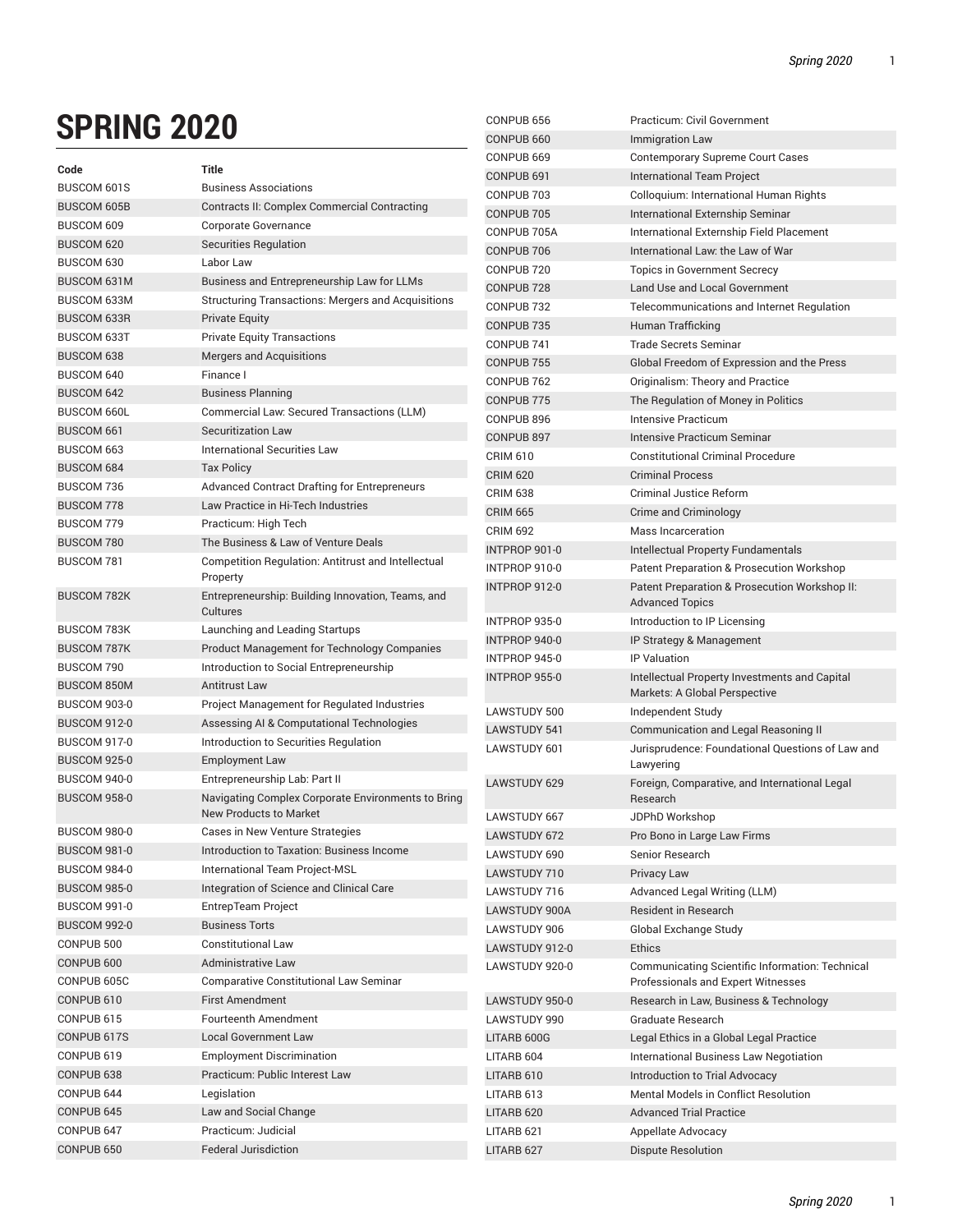CONPUB 656 Practicum: Civil Government

## **SPRING 2020**

| .                                          |                                                                                     | CONPUB 660            | Immigration Law                                                                |
|--------------------------------------------|-------------------------------------------------------------------------------------|-----------------------|--------------------------------------------------------------------------------|
|                                            |                                                                                     | CONPUB 669            | <b>Contemporary Supreme Court Cases</b>                                        |
| Code                                       | Title                                                                               | CONPUB 691            | International Team Project                                                     |
| BUSCOM 601S                                | <b>Business Associations</b>                                                        | CONPUB 703            | Colloquium: International Human Rights                                         |
| <b>BUSCOM 605B</b>                         | Contracts II: Complex Commercial Contracting                                        | CONPUB 705            | International Externship Seminar                                               |
| BUSCOM 609                                 | Corporate Governance                                                                | CONPUB 705A           | International Externship Field Placement                                       |
| BUSCOM 620                                 | Securities Regulation                                                               | CONPUB 706            | International Law: the Law of War                                              |
| BUSCOM 630                                 | Labor Law                                                                           | CONPUB <sub>720</sub> | <b>Topics in Government Secrecy</b>                                            |
| BUSCOM 631M                                | Business and Entrepreneurship Law for LLMs                                          | CONPUB <sub>728</sub> | Land Use and Local Government                                                  |
| <b>BUSCOM 633M</b>                         | <b>Structuring Transactions: Mergers and Acquisitions</b>                           | CONPUB <sub>732</sub> | Telecommunications and Internet Regulation                                     |
| <b>BUSCOM 633R</b>                         | <b>Private Equity</b>                                                               | CONPUB <sub>735</sub> | Human Trafficking                                                              |
| <b>BUSCOM 633T</b>                         | <b>Private Equity Transactions</b>                                                  | CONPUB 741            | <b>Trade Secrets Seminar</b>                                                   |
| BUSCOM 638                                 | Mergers and Acquisitions                                                            | CONPUB <sub>755</sub> | Global Freedom of Expression and the Press                                     |
| BUSCOM 640                                 | Finance I                                                                           | CONPUB 762            | Originalism: Theory and Practice                                               |
| BUSCOM 642                                 | <b>Business Planning</b>                                                            | CONPUB <sub>775</sub> | The Regulation of Money in Politics                                            |
| <b>BUSCOM 660L</b>                         | Commercial Law: Secured Transactions (LLM)                                          | CONPUB 896            | <b>Intensive Practicum</b>                                                     |
| BUSCOM 661                                 | Securitization Law                                                                  | CONPUB 897            | Intensive Practicum Seminar                                                    |
| BUSCOM 663                                 | <b>International Securities Law</b>                                                 | <b>CRIM 610</b>       | <b>Constitutional Criminal Procedure</b>                                       |
| BUSCOM 684                                 | <b>Tax Policy</b>                                                                   | <b>CRIM 620</b>       | <b>Criminal Process</b>                                                        |
| BUSCOM 736                                 | Advanced Contract Drafting for Entrepreneurs                                        | <b>CRIM 638</b>       | <b>Criminal Justice Reform</b>                                                 |
| <b>BUSCOM 778</b>                          | Law Practice in Hi-Tech Industries                                                  | <b>CRIM 665</b>       | Crime and Criminology                                                          |
| BUSCOM 779                                 | Practicum: High Tech                                                                | <b>CRIM 692</b>       | Mass Incarceration                                                             |
| BUSCOM 780                                 | The Business & Law of Venture Deals                                                 | INTPROP 901-0         | Intellectual Property Fundamentals                                             |
| BUSCOM 781                                 | Competition Regulation: Antitrust and Intellectual                                  | INTPROP 910-0         | Patent Preparation & Prosecution Workshop                                      |
| <b>BUSCOM 782K</b>                         | Property<br>Entrepreneurship: Building Innovation, Teams, and                       | INTPROP 912-0         | Patent Preparation & Prosecution Workshop II:                                  |
|                                            | Cultures                                                                            |                       | <b>Advanced Topics</b>                                                         |
| <b>BUSCOM 783K</b>                         | Launching and Leading Startups                                                      | INTPROP 935-0         | Introduction to IP Licensing                                                   |
| <b>BUSCOM 787K</b>                         | <b>Product Management for Technology Companies</b>                                  | INTPROP 940-0         | IP Strategy & Management<br><b>IP Valuation</b>                                |
| BUSCOM 790                                 | Introduction to Social Entrepreneurship                                             | INTPROP 945-0         |                                                                                |
| <b>BUSCOM 850M</b>                         | <b>Antitrust Law</b>                                                                | INTPROP 955-0         | Intellectual Property Investments and Capital<br>Markets: A Global Perspective |
| <b>BUSCOM 903-0</b>                        | <b>Project Management for Regulated Industries</b>                                  | LAWSTUDY 500          | Independent Study                                                              |
| <b>BUSCOM 912-0</b>                        | Assessing AI & Computational Technologies                                           | <b>LAWSTUDY 541</b>   | Communication and Legal Reasoning II                                           |
| <b>BUSCOM 917-0</b>                        | Introduction to Securities Regulation                                               | LAWSTUDY 601          | Jurisprudence: Foundational Questions of Law and                               |
| <b>BUSCOM 925-0</b>                        | <b>Employment Law</b>                                                               |                       | Lawyering                                                                      |
| <b>BUSCOM 940-0</b><br><b>BUSCOM 958-0</b> | Entrepreneurship Lab: Part II<br>Navigating Complex Corporate Environments to Bring | <b>LAWSTUDY 629</b>   | Foreign, Comparative, and International Legal<br>Research                      |
|                                            | New Products to Market                                                              | LAWSTUDY 667          | JDPhD Workshop                                                                 |
| <b>BUSCOM 980-0</b>                        | Cases in New Venture Strategies                                                     | LAWSTUDY 672          | Pro Bono in Large Law Firms                                                    |
| <b>BUSCOM 981-0</b>                        | Introduction to Taxation: Business Income                                           | LAWSTUDY 690          | Senior Research                                                                |
| <b>BUSCOM 984-0</b>                        | International Team Project-MSL                                                      | LAWSTUDY 710          | <b>Privacy Law</b>                                                             |
| <b>BUSCOM 985-0</b>                        | Integration of Science and Clinical Care                                            | LAWSTUDY 716          | Advanced Legal Writing (LLM)                                                   |
| <b>BUSCOM 991-0</b>                        | EntrepTeam Project                                                                  | LAWSTUDY 900A         | Resident in Research                                                           |
| <b>BUSCOM 992-0</b>                        | <b>Business Torts</b>                                                               | LAWSTUDY 906          | Global Exchange Study                                                          |
| CONPUB 500                                 | <b>Constitutional Law</b>                                                           | LAWSTUDY 912-0        | Ethics                                                                         |
| CONPUB 600                                 | Administrative Law                                                                  | LAWSTUDY 920-0        | Communicating Scientific Information: Technical                                |
| CONPUB 605C                                | <b>Comparative Constitutional Law Seminar</b>                                       |                       | Professionals and Expert Witnesses                                             |
| CONPUB <sub>610</sub>                      | <b>First Amendment</b>                                                              | LAWSTUDY 950-0        | Research in Law, Business & Technology                                         |
| CONPUB <sub>615</sub>                      | Fourteenth Amendment                                                                | LAWSTUDY 990          | Graduate Research                                                              |
| CONPUB 617S                                | <b>Local Government Law</b>                                                         | LITARB 600G           | Legal Ethics in a Global Legal Practice                                        |
| CONPUB 619                                 | <b>Employment Discrimination</b>                                                    | LITARB 604            | International Business Law Negotiation                                         |
| CONPUB 638                                 | Practicum: Public Interest Law                                                      | LITARB 610            | Introduction to Trial Advocacy                                                 |
| CONPUB 644                                 | Legislation                                                                         | LITARB 613            | Mental Models in Conflict Resolution                                           |
| CONPUB 645                                 | Law and Social Change                                                               | LITARB 620            | <b>Advanced Trial Practice</b>                                                 |
| CONPUB 647                                 | Practicum: Judicial                                                                 | LITARB 621            | Appellate Advocacy                                                             |
| CONPUB 650                                 | <b>Federal Jurisdiction</b>                                                         | LITARB 627            | <b>Dispute Resolution</b>                                                      |
|                                            |                                                                                     |                       |                                                                                |